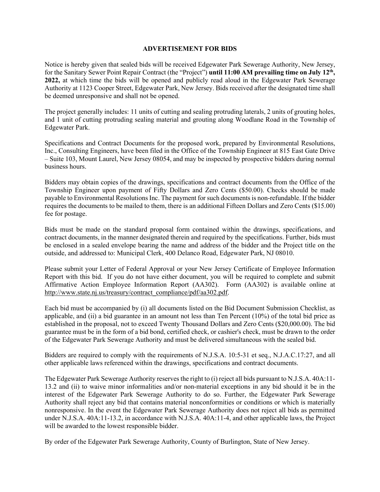## **ADVERTISEMENT FOR BIDS**

Notice is hereby given that sealed bids will be received Edgewater Park Sewerage Authority, New Jersey, for the Sanitary Sewer Point Repair Contract (the "Project") **until 11:00 AM prevailing time on July 12<sup>th</sup>, 2022,** at which time the bids will be opened and publicly read aloud in the Edgewater Park Sewerage Authority at 1123 Cooper Street, Edgewater Park, New Jersey. Bids received after the designated time shall be deemed unresponsive and shall not be opened.

The project generally includes: 11 units of cutting and sealing protruding laterals, 2 units of grouting holes, and 1 unit of cutting protruding sealing material and grouting along Woodlane Road in the Township of Edgewater Park.

Specifications and Contract Documents for the proposed work, prepared by Environmental Resolutions, Inc., Consulting Engineers, have been filed in the Office of the Township Engineer at 815 East Gate Drive – Suite 103, Mount Laurel, New Jersey 08054, and may be inspected by prospective bidders during normal business hours.

Bidders may obtain copies of the drawings, specifications and contract documents from the Office of the Township Engineer upon payment of Fifty Dollars and Zero Cents (\$50.00). Checks should be made payable to Environmental Resolutions Inc. The payment for such documents is non-refundable. If the bidder requires the documents to be mailed to them, there is an additional Fifteen Dollars and Zero Cents (\$15.00) fee for postage.

Bids must be made on the standard proposal form contained within the drawings, specifications, and contract documents, in the manner designated therein and required by the specifications. Further, bids must be enclosed in a sealed envelope bearing the name and address of the bidder and the Project title on the outside, and addressed to: Municipal Clerk, 400 Delanco Road, Edgewater Park, NJ 08010.

Please submit your Letter of Federal Approval or your New Jersey Certificate of Employee Information Report with this bid. If you do not have either document, you will be required to complete and submit Affirmative Action Employee Information Report (AA302). Form (AA302) is available online at http://www.state.nj.us/treasury/contract\_compliance/pdf/aa302.pdf.

Each bid must be accompanied by (i) all documents listed on the Bid Document Submission Checklist, as applicable, and (ii) a bid guarantee in an amount not less than Ten Percent (10%) of the total bid price as established in the proposal, not to exceed Twenty Thousand Dollars and Zero Cents (\$20,000.00). The bid guarantee must be in the form of a bid bond, certified check, or cashier's check, must be drawn to the order of the Edgewater Park Sewerage Authority and must be delivered simultaneous with the sealed bid.

Bidders are required to comply with the requirements of N.J.S.A. 10:5-31 et seq., N.J.A.C.17:27, and all other applicable laws referenced within the drawings, specifications and contract documents.

The Edgewater Park Sewerage Authority reserves the right to (i) reject all bids pursuant to N.J.S.A. 40A:11- 13.2 and (ii) to waive minor informalities and/or non-material exceptions in any bid should it be in the interest of the Edgewater Park Sewerage Authority to do so. Further, the Edgewater Park Sewerage Authority shall reject any bid that contains material nonconformities or conditions or which is materially nonresponsive. In the event the Edgewater Park Sewerage Authority does not reject all bids as permitted under N.J.S.A. 40A:11-13.2, in accordance with N.J.S.A. 40A:11-4, and other applicable laws, the Project will be awarded to the lowest responsible bidder.

By order of the Edgewater Park Sewerage Authority, County of Burlington, State of New Jersey.